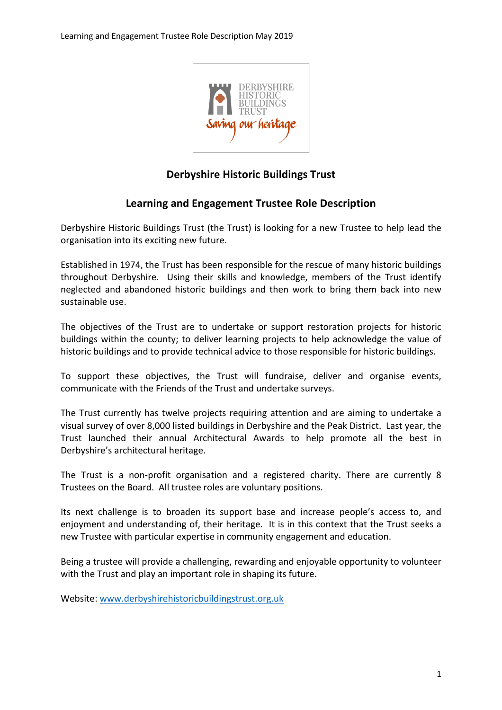

# **Derbyshire Historic Buildings Trust**

# **Learning and Engagement Trustee Role Description**

Derbyshire Historic Buildings Trust (the Trust) is looking for a new Trustee to help lead the organisation into its exciting new future.

Established in 1974, the Trust has been responsible for the rescue of many historic buildings throughout Derbyshire. Using their skills and knowledge, members of the Trust identify neglected and abandoned historic buildings and then work to bring them back into new sustainable use.

The objectives of the Trust are to undertake or support restoration projects for historic buildings within the county; to deliver learning projects to help acknowledge the value of historic buildings and to provide technical advice to those responsible for historic buildings.

To support these objectives, the Trust will fundraise, deliver and organise events, communicate with the Friends of the Trust and undertake surveys.

The Trust currently has twelve projects requiring attention and are aiming to undertake a visual survey of over 8,000 listed buildings in Derbyshire and the Peak District. Last year, the Trust launched their annual Architectural Awards to help promote all the best in Derbyshire's architectural heritage.

The Trust is a non-profit organisation and a registered charity. There are currently 8 Trustees on the Board. All trustee roles are voluntary positions.

Its next challenge is to broaden its support base and increase people's access to, and enjoyment and understanding of, their heritage. It is in this context that the Trust seeks a new Trustee with particular expertise in community engagement and education.

Being a trustee will provide a challenging, rewarding and enjoyable opportunity to volunteer with the Trust and play an important role in shaping its future.

Website: www.derbyshirehistoricbuildingstrust.org.uk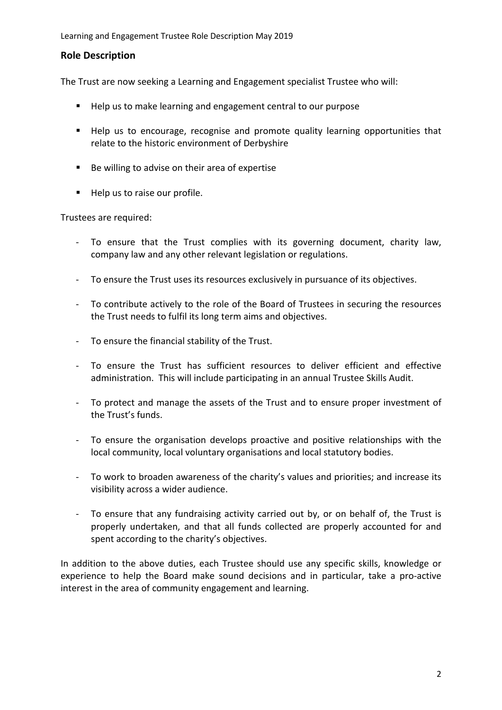### **Role Description**

The Trust are now seeking a Learning and Engagement specialist Trustee who will:

- Help us to make learning and engagement central to our purpose
- Help us to encourage, recognise and promote quality learning opportunities that relate to the historic environment of Derbyshire
- Be willing to advise on their area of expertise
- Help us to raise our profile.

Trustees are required:

- To ensure that the Trust complies with its governing document, charity law, company law and any other relevant legislation or regulations.
- To ensure the Trust uses its resources exclusively in pursuance of its objectives.
- To contribute actively to the role of the Board of Trustees in securing the resources the Trust needs to fulfil its long term aims and objectives.
- To ensure the financial stability of the Trust.
- To ensure the Trust has sufficient resources to deliver efficient and effective administration. This will include participating in an annual Trustee Skills Audit.
- To protect and manage the assets of the Trust and to ensure proper investment of the Trust's funds.
- To ensure the organisation develops proactive and positive relationships with the local community, local voluntary organisations and local statutory bodies.
- To work to broaden awareness of the charity's values and priorities; and increase its visibility across a wider audience.
- To ensure that any fundraising activity carried out by, or on behalf of, the Trust is properly undertaken, and that all funds collected are properly accounted for and spent according to the charity's objectives.

In addition to the above duties, each Trustee should use any specific skills, knowledge or experience to help the Board make sound decisions and in particular, take a pro-active interest in the area of community engagement and learning.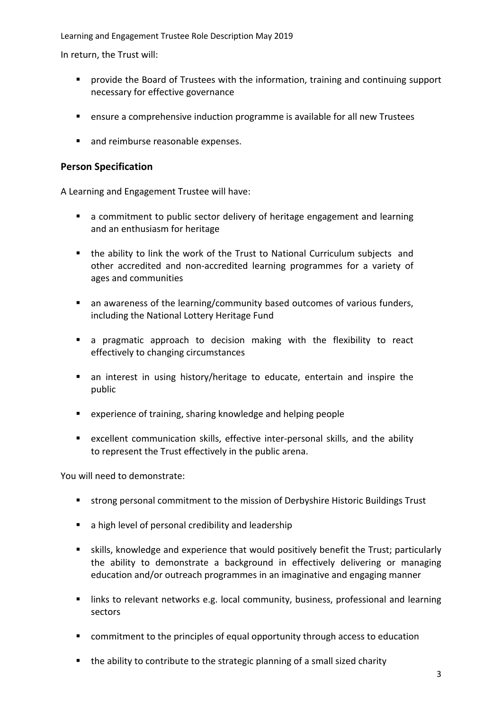In return, the Trust will:

- provide the Board of Trustees with the information, training and continuing support necessary for effective governance
- ensure a comprehensive induction programme is available for all new Trustees
- and reimburse reasonable expenses.

### **Person Specification**

A Learning and Engagement Trustee will have:

- a commitment to public sector delivery of heritage engagement and learning and an enthusiasm for heritage
- the ability to link the work of the Trust to National Curriculum subjects and other accredited and non-accredited learning programmes for a variety of ages and communities
- **•** an awareness of the learning/community based outcomes of various funders, including the National Lottery Heritage Fund
- a pragmatic approach to decision making with the flexibility to react effectively to changing circumstances
- an interest in using history/heritage to educate, entertain and inspire the public
- experience of training, sharing knowledge and helping people
- excellent communication skills, effective inter-personal skills, and the ability to represent the Trust effectively in the public arena.

You will need to demonstrate:

- strong personal commitment to the mission of Derbyshire Historic Buildings Trust
- $\blacksquare$  a high level of personal credibility and leadership
- skills, knowledge and experience that would positively benefit the Trust; particularly the ability to demonstrate a background in effectively delivering or managing education and/or outreach programmes in an imaginative and engaging manner
- links to relevant networks e.g. local community, business, professional and learning sectors
- commitment to the principles of equal opportunity through access to education
- the ability to contribute to the strategic planning of a small sized charity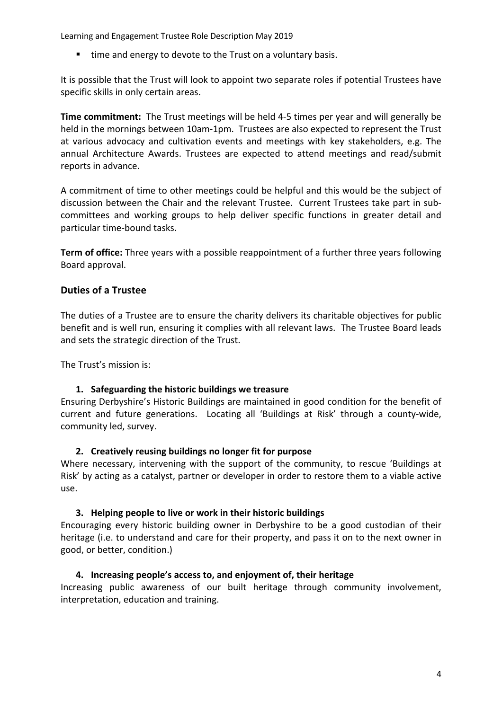■ time and energy to devote to the Trust on a voluntary basis.

It is possible that the Trust will look to appoint two separate roles if potential Trustees have specific skills in only certain areas.

**Time commitment:** The Trust meetings will be held 4-5 times per year and will generally be held in the mornings between 10am-1pm. Trustees are also expected to represent the Trust at various advocacy and cultivation events and meetings with key stakeholders, e.g. The annual Architecture Awards. Trustees are expected to attend meetings and read/submit reports in advance.

A commitment of time to other meetings could be helpful and this would be the subject of discussion between the Chair and the relevant Trustee. Current Trustees take part in subcommittees and working groups to help deliver specific functions in greater detail and particular time-bound tasks.

**Term of office:** Three years with a possible reappointment of a further three years following Board approval.

# **Duties of a Trustee**

The duties of a Trustee are to ensure the charity delivers its charitable objectives for public benefit and is well run, ensuring it complies with all relevant laws. The Trustee Board leads and sets the strategic direction of the Trust.

The Trust's mission is:

### **1. Safeguarding the historic buildings we treasure**

Ensuring Derbyshire's Historic Buildings are maintained in good condition for the benefit of current and future generations. Locating all 'Buildings at Risk' through a county-wide, community led, survey.

### **2. Creatively reusing buildings no longer fit for purpose**

Where necessary, intervening with the support of the community, to rescue 'Buildings at Risk' by acting as a catalyst, partner or developer in order to restore them to a viable active use.

#### **3. Helping people to live or work in their historic buildings**

Encouraging every historic building owner in Derbyshire to be a good custodian of their heritage (i.e. to understand and care for their property, and pass it on to the next owner in good, or better, condition.)

### **4. Increasing people's access to, and enjoyment of, their heritage**

Increasing public awareness of our built heritage through community involvement, interpretation, education and training.